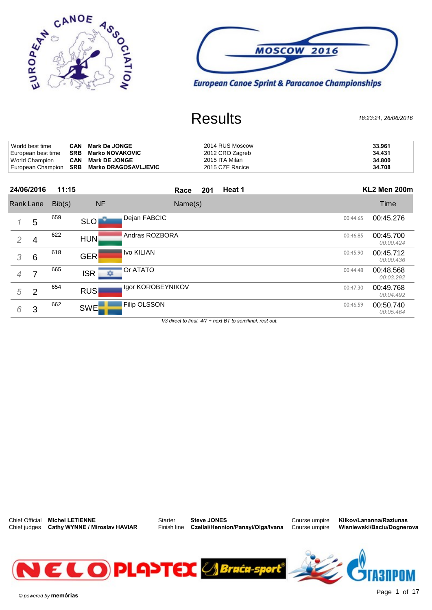



| World best time    | CAN        | <b>Mark De JONGE</b>                       | 2014 RUS Moscow | 33.961 |
|--------------------|------------|--------------------------------------------|-----------------|--------|
| European best time | SRB        | <b>Marko NOVAKOVIC</b>                     | 2012 CRO Zagreb | 34.431 |
| World Champion     | <b>CAN</b> | <b>Mark DE JONGE</b>                       | 2015 ITA Milan  | 34.800 |
|                    |            | European Champion SRB Marko DRAGOSAVLJEVIC | 2015 CZE Racice | 34.708 |

|                |   | European Champion SKD Marko DRAGOSAVLJEVIC |            |                     | <b>ZUTJ ULL NAUILE</b> |        |          | -94.700                |
|----------------|---|--------------------------------------------|------------|---------------------|------------------------|--------|----------|------------------------|
| 24/06/2016     |   | 11:15                                      |            | Race                | 201                    | Heat 1 |          | KL2 Men 200m           |
| Rank Lane      |   | Bib(s)                                     | <b>NF</b>  | Name(s)             |                        |        |          | Time                   |
|                | 5 | 659                                        | <b>SLO</b> | Dejan FABCIC        |                        |        | 00:44.65 | 00:45.276              |
| $\overline{2}$ | 4 | 622                                        | <b>HUN</b> | Andras ROZBORA      |                        |        | 00:46.85 | 00:45.700<br>00:00.424 |
| 3              | 6 | 618                                        | <b>GER</b> | Ivo KILIAN          |                        |        | 00:45.90 | 00:45.712<br>00:00.436 |
| 4              | 7 | 665                                        | ISR<br>∗   | Or ATATO            |                        |        | 00:44.48 | 00:48.568<br>00:03.292 |
| 5              | 2 | 654                                        | <b>RUS</b> | Igor KOROBEYNIKOV   |                        |        | 00:47.30 | 00:49.768<br>00:04.492 |
| 6              | 3 | 662                                        | <b>SWE</b> | <b>Filip OLSSON</b> |                        |        | 00:46.59 | 00:50.740<br>00:05.464 |
|                |   |                                            |            |                     |                        |        |          |                        |

 $1/3$  direct to final,  $4/7$  + next BT to semifinal, rest out.



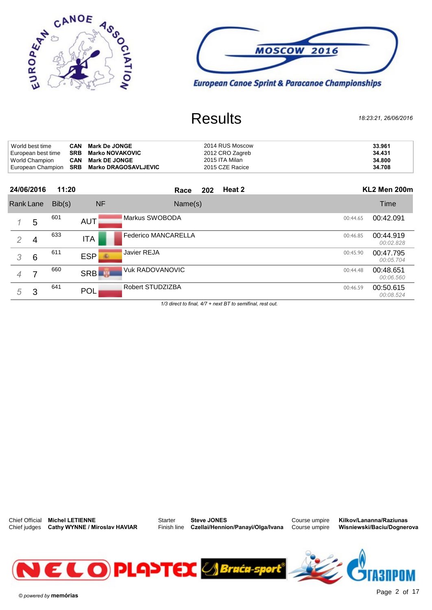



| 24/06/2016         | 11:20 |                                            | Race | 202 | Heat 2          | <b>KL2 Men 200m</b> |
|--------------------|-------|--------------------------------------------|------|-----|-----------------|---------------------|
|                    |       | European Champion SRB Marko DRAGOSAVLJEVIC |      |     | 2015 CZE Racice | 34.708              |
| World Champion     |       | <b>CAN</b> Mark DE JONGE                   |      |     | 2015 ITA Milan  | 34.800              |
| European best time |       | <b>SRB</b> Marko NOVAKOVIC                 |      |     | 2012 CRO Zagreb | 34,431              |
| World best time    |       | <b>CAN</b> Mark De JONGE                   |      |     | 2014 RUS Moscow | 33,961              |

|                | 24/06/2016 | 11:20  |                 | Race                       | 202 | Heat 2 |          | KL2 Men 200m           |
|----------------|------------|--------|-----------------|----------------------------|-----|--------|----------|------------------------|
|                | Rank Lane  | Bib(s) | <b>NF</b>       | Name(s)                    |     |        |          | Time                   |
|                | 5          | 601    | <b>AUT</b>      | Markus SWOBODA             |     |        | 00:44.65 | 00:42.091              |
| $\overline{2}$ | 4          | 633    | <b>ITA</b>      | <b>Federico MANCARELLA</b> |     |        | 00:46.85 | 00:44.919<br>00:02.828 |
| 3              | 6          | 611    | <b>ESP</b><br>鉴 | Javier REJA                |     |        | 00:45.90 | 00:47.795<br>00:05.704 |
| 4              | 7          | 660    | <b>SRB</b>      | <b>Vuk RADOVANOVIC</b>     |     |        | 00:44.48 | 00:48.651<br>00:06.560 |
| 5              | 3          | 641    | <b>POL</b>      | Robert STUDZIZBA           |     |        | 00:46.59 | 00:50.615<br>00:08.524 |

 $1/3$  direct to final,  $4/7$  + next BT to semifinal, rest out.



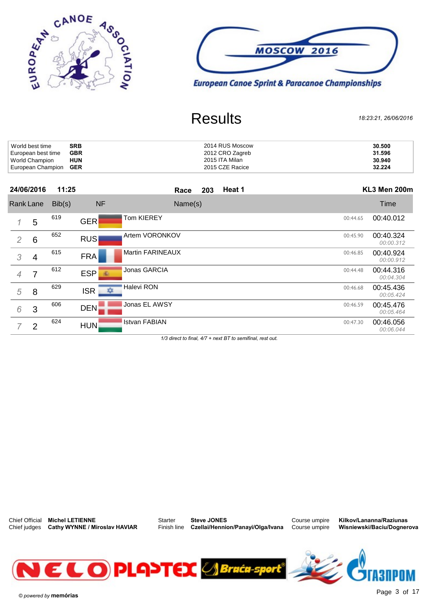



| World best time              | <b>SRB</b> | 2014 RUS Moscow | 30.500 |
|------------------------------|------------|-----------------|--------|
| European best time           | <b>GBR</b> | 2012 CRO Zagreb | 31.596 |
| World Champion               | <b>HUN</b> | 2015 ITA Milan  | 30.940 |
| European Champion <b>GER</b> |            | 2015 CZE Racice | 32.224 |

| European Griampion GER |                 |        | <b>ZUTO ULL NAULE</b> |                         |        | 36.ZZ4 |          |                        |
|------------------------|-----------------|--------|-----------------------|-------------------------|--------|--------|----------|------------------------|
|                        | 24/06/2016      | 11:25  |                       | 203<br>Race             | Heat 1 |        |          | KL3 Men 200m           |
|                        | Rank Lane       | Bib(s) | <b>NF</b>             | Name(s)                 |        |        |          | Time                   |
|                        | 5               | 619    | <b>GER</b>            | Tom KIEREY              |        |        | 00:44.65 | 00:40.012              |
| $\overline{2}$         | $6\phantom{1}6$ | 652    | <b>RUS</b>            | Artem VORONKOV          |        |        | 00:45.90 | 00:40.324<br>00:00.312 |
| 3                      | 4               | 615    | <b>FRA</b>            | <b>Martin FARINEAUX</b> |        |        | 00:46.85 | 00:40.924<br>00:00.912 |
| $\overline{4}$         | 7               | 612    | ESP<br>$\overline{1}$ | Jonas GARCIA            |        |        | 00:44.48 | 00:44.316<br>00:04.304 |
| 5                      | 8               | 629    | ISR<br>众              | Halevi RON              |        |        | 00:46.68 | 00:45.436<br>00:05.424 |
| 6                      | 3               | 606    | DEN.                  | Jonas EL AWSY           |        |        | 00:46.59 | 00:45.476<br>00:05.464 |
|                        | $\overline{2}$  | 624    | HUN                   | <b>Istvan FABIAN</b>    |        |        | 00:47.30 | 00:46.056<br>00:06.044 |

 $1/3$  direct to final,  $4/7$  + next BT to semifinal, rest out.



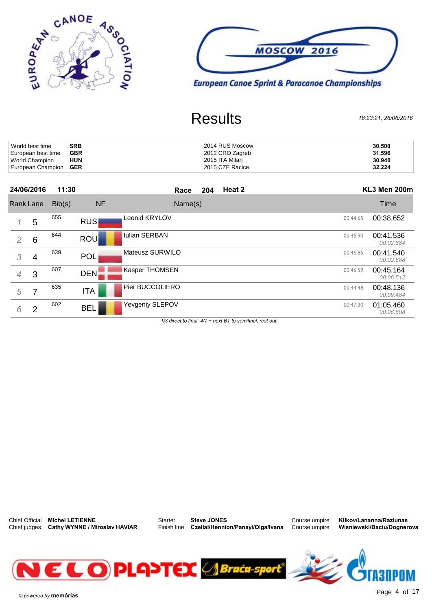



| World best time              | <b>SRB</b> | 2014 RUS Moscow | 30.500 |
|------------------------------|------------|-----------------|--------|
| European best time           | <b>GBR</b> | 2012 CRO Zagreb | 31.596 |
| World Champion               | <b>HUN</b> | 2015 ITA Milan  | 30.940 |
| European Champion <b>GER</b> |            | 2015 CZE Racice | 32.224 |

|                |                 | European Griampion GER |            | <b>ZUTO ULL NAUILE</b> | 36.ZZ4                             |
|----------------|-----------------|------------------------|------------|------------------------|------------------------------------|
|                | 24/06/2016      | 11:30                  |            | Heat 2<br>204<br>Race  | KL3 Men 200m                       |
|                | Rank Lane       | Bib(s)                 | <b>NF</b>  | Name(s)                | <b>Time</b>                        |
| 1              | 5               | 655                    | <b>RUS</b> | Leonid KRYLOV          | 00:38.652<br>00:44.65              |
| $\overline{2}$ | $6\phantom{1}6$ | 644                    | <b>ROU</b> | <b>Iulian SERBAN</b>   | 00:41.536<br>00:45.90<br>00:02.884 |
| 3              | 4               | 639                    | <b>POL</b> | Mateusz SURWILO        | 00:41.540<br>00:46.85<br>00:02.888 |
| $\overline{4}$ | 3               | 607                    | DEN.       | Kasper THOMSEN         | 00:45.164<br>00:46.59<br>00:06.512 |
| 5              | 7               | 635                    | <b>ITA</b> | Pier BUCCOLIERO        | 00:48.136<br>00:44.48<br>00:09.484 |
| 6              | $\overline{2}$  | 602                    | <b>BEL</b> | Yevgeniy SLEPOV        | 01:05.460<br>00:47.30<br>00:26.808 |
|                |                 |                        |            |                        |                                    |

 $1/3$  direct to final,  $4/7$  + next BT to semifinal, rest out.



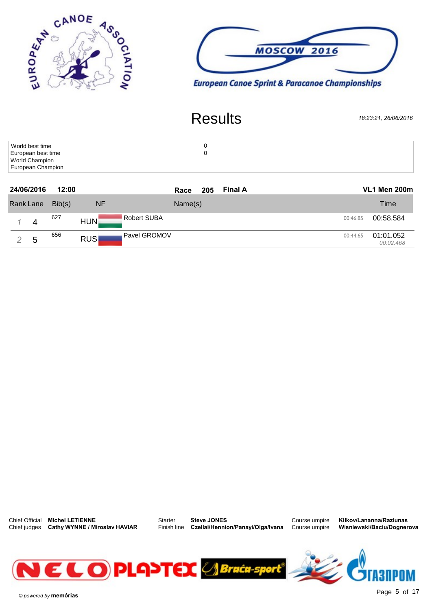



| World best time                     |  |
|-------------------------------------|--|
| European best time                  |  |
| World Champion<br>European Champion |  |
|                                     |  |

| European Unamplon |   |        |                                  |                               |                                    |
|-------------------|---|--------|----------------------------------|-------------------------------|------------------------------------|
| 24/06/2016        |   | 12:00  |                                  | <b>Final A</b><br>205<br>Race | <b>VL1 Men 200m</b>                |
| Rank Lane         |   | Bib(s) | <b>NF</b>                        | Name(s)                       | Time                               |
|                   | 4 | 627    | <b>Robert SUBA</b><br><b>HUN</b> |                               | 00:58.584<br>00:46.85              |
|                   | 5 | 656    | Pavel GROMOV<br><b>RUS</b>       |                               | 01:01.052<br>00:44.65<br>00:02.468 |



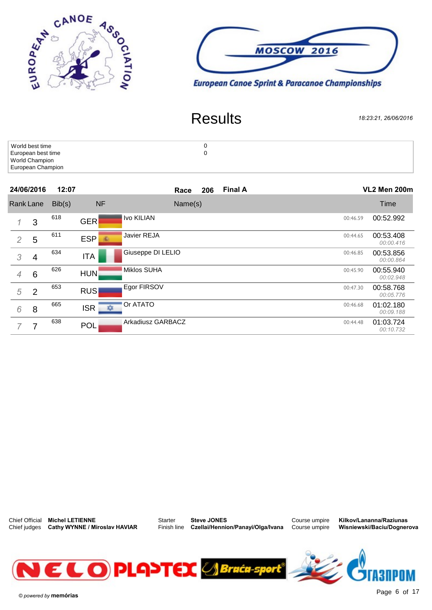



| World best time    |  |
|--------------------|--|
| European best time |  |
| World Champion     |  |
| European Champion  |  |

|                | European Griampion |        |                  |                               |          |                        |
|----------------|--------------------|--------|------------------|-------------------------------|----------|------------------------|
|                | 24/06/2016         | 12:07  |                  | <b>Final A</b><br>206<br>Race |          | VL2 Men 200m           |
|                | <b>Rank Lane</b>   | Bib(s) | <b>NF</b>        | Name(s)                       |          | Time                   |
| $\mathcal I$   | 3                  | 618    | <b>GER</b>       | Ivo KILIAN                    | 00:46.59 | 00:52.992              |
| $\overline{2}$ | 5                  | 611    | <b>ESP</b><br>6R | Javier REJA                   | 00:44.65 | 00:53.408<br>00:00.416 |
| 3              | 4                  | 634    | <b>ITA</b>       | Giuseppe DI LELIO             | 00:46.85 | 00:53.856<br>00:00.864 |
| $\overline{4}$ | $6\phantom{1}6$    | 626    | <b>HUN</b>       | <b>Miklos SUHA</b>            | 00:45.90 | 00:55.940<br>00:02.948 |
| 5              | $\overline{2}$     | 653    | <b>RUS</b>       | Egor FIRSOV                   | 00:47.30 | 00:58.768<br>00:05.776 |
| 6              | 8                  | 665    | ISR  <br>☆       | Or ATATO                      | 00:46.68 | 01:02.180<br>00:09.188 |
|                | 7                  | 638    | <b>POL</b>       | Arkadiusz GARBACZ             | 00:44.48 | 01:03.724<br>00:10.732 |
|                |                    |        |                  |                               |          |                        |

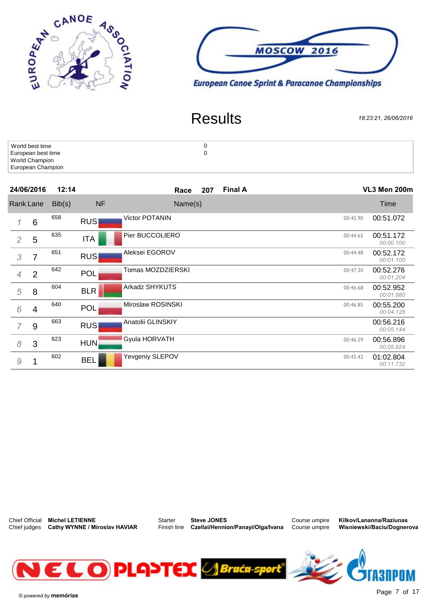



| World best time    |  |
|--------------------|--|
| European best time |  |
| World Champion     |  |
| European Champion  |  |

|                | European Unamplon |        |            |                               |          |                        |  |  |
|----------------|-------------------|--------|------------|-------------------------------|----------|------------------------|--|--|
|                | 24/06/2016        | 12:14  |            | <b>Final A</b><br>207<br>Race |          | VL3 Men 200m           |  |  |
| Rank Lane      |                   | Bib(s) | <b>NF</b>  | Name(s)                       |          | Time                   |  |  |
|                | $6\phantom{1}6$   | 658    | <b>RUS</b> | <b>Victor POTANIN</b>         | 00:45.90 | 00:51.072              |  |  |
| $\overline{2}$ | 5                 | 635    | <b>ITA</b> | Pier BUCCOLIERO               | 00:44.65 | 00:51.172<br>00:00.100 |  |  |
| 3              | 7                 | 651    | <b>RUS</b> | Aleksei EGOROV                | 00:44.48 | 00:52.172<br>00:01.100 |  |  |
| $\overline{4}$ | 2                 | 642    | <b>POL</b> | Tomas MOZDZIERSKI             | 00:47.30 | 00:52.276<br>00:01.204 |  |  |
| 5              | 8                 | 604    | <b>BLR</b> | Arkadz SHYKUTS                | 00:46.68 | 00:52.952<br>00:01.880 |  |  |
| 6              | 4                 | 640    | <b>POL</b> | Miroslaw ROSINSKI             | 00:46.85 | 00:55.200<br>00:04.128 |  |  |
|                | 9                 | 663    | <b>RUS</b> | Anatolii GLINSKIY             |          | 00:56.216<br>00:05.144 |  |  |
| 8              | 3                 | 623    | <b>HUN</b> | Gyula HORVATH                 | 00:46.59 | 00:56.896<br>00:05.824 |  |  |
| 9              |                   | 602    | <b>BEL</b> | Yevgeniy SLEPOV               | 00:45.42 | 01:02.804<br>00:11.732 |  |  |



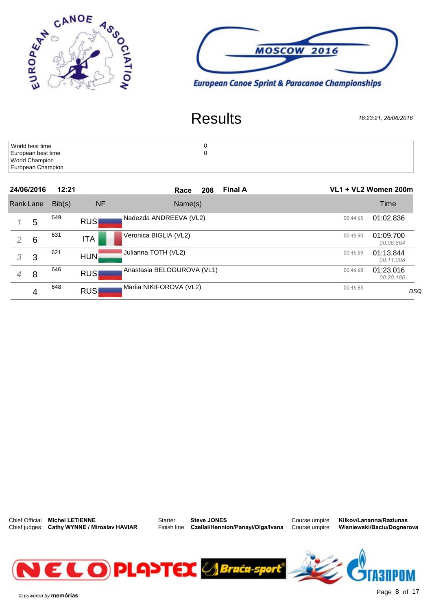



| World best time    |  |
|--------------------|--|
| European best time |  |
| World Champion     |  |
| European Champion  |  |

|                  | European Unamplon |        |            |                               |                      |                        |
|------------------|-------------------|--------|------------|-------------------------------|----------------------|------------------------|
|                  | 24/06/2016        | 12:21  |            | <b>Final A</b><br>208<br>Race | VL1 + VL2 Women 200m |                        |
| <b>Rank Lane</b> |                   | Bib(s) | <b>NF</b>  | Name(s)                       |                      | Time                   |
| 1.               | 5                 | 649    | <b>RUS</b> | Nadezda ANDREEVA (VL2)        | 00:44.65             | 01:02.836              |
| 2                | 6                 | 631    | <b>ITA</b> | Veronica BIGLIA (VL2)         | 00:45.90             | 01:09.700<br>00:06.864 |
| 3                | 3                 | 621    | <b>HUN</b> | Julianna TOTH (VL2)           | 00:46.59             | 01:13.844<br>00:11.008 |
| $\overline{4}$   | 8                 | 646    | <b>RUS</b> | Anastasia BELOGUROVA (VL1)    | 00:46.68             | 01:23.016<br>00:20.180 |
|                  | 4                 | 648    | <b>RUS</b> | Mariia NIKIFOROVA (VL2)       | 00:46.85             | DSQ                    |



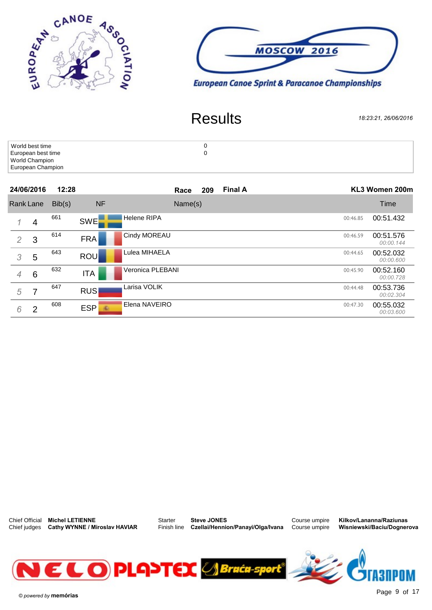



| World best time    |  |
|--------------------|--|
| European best time |  |
| World Champion     |  |
| European Champion  |  |

|                | European Griampion  |        |                      |                     |                       |                               |  |                |  |  |
|----------------|---------------------|--------|----------------------|---------------------|-----------------------|-------------------------------|--|----------------|--|--|
|                | 24/06/2016<br>12:28 |        |                      |                     |                       | <b>Final A</b><br>209<br>Race |  | KL3 Women 200m |  |  |
|                | <b>Rank Lane</b>    | Bib(s) | <b>NF</b>            | Name(s)             |                       | Time                          |  |                |  |  |
| 1              | 4                   | 661    | <b>SWE</b>           | <b>Helene RIPA</b>  | 00:51.432<br>00:46.85 |                               |  |                |  |  |
| $\overline{2}$ | 3                   | 614    | <b>FRA</b>           | <b>Cindy MOREAU</b> | 00:51.576<br>00:46.59 | 00:00.144                     |  |                |  |  |
| 3              | 5                   | 643    | ROU                  | Lulea MIHAELA       | 00:52.032<br>00:44.65 | 00:00.600                     |  |                |  |  |
| $\overline{4}$ | $6\phantom{1}6$     | 632    | <b>ITA</b>           | Veronica PLEBANI    | 00:52.160<br>00:45.90 | 00:00.728                     |  |                |  |  |
| 5              | 7                   | 647    | <b>RUS</b>           | Larisa VOLIK        | 00:53.736<br>00:44.48 | 00:02.304                     |  |                |  |  |
| 6              | 2                   | 608    | ESP<br>$\mathcal{R}$ | Elena NAVEIRO       | 00:55.032<br>00:47.30 | 00:03.600                     |  |                |  |  |



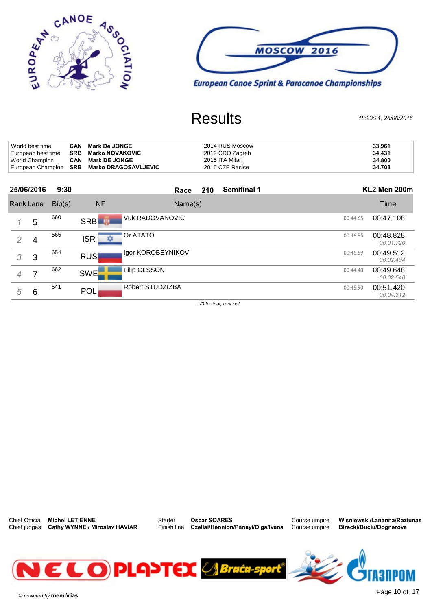



| World best time    | CAN | <b>Mark De JONGE</b>                       | 2014 RUS Moscow | 33.961 |
|--------------------|-----|--------------------------------------------|-----------------|--------|
| European best time | SRB | Marko NOVAKOVIC                            | 2012 CRO Zagreb | 34.431 |
| World Champion     | CAN | <b>Mark DE JONGE</b>                       | 2015 ITA Milan  | 34.800 |
|                    |     | European Champion SRB Marko DRAGOSAVLJEVIC | 2015 CZE Racice | 34.708 |

|                |            | European Champion SKD Marko DRAGOSAVLJEVIC |                      |                   | <b>ZUTO ULL NAUILE</b> |                    |  |          | -34.700                |  |
|----------------|------------|--------------------------------------------|----------------------|-------------------|------------------------|--------------------|--|----------|------------------------|--|
|                | 25/06/2016 | 9:30                                       |                      | Race              | 210                    | <b>Semifinal 1</b> |  |          | KL2 Men 200m           |  |
| Rank Lane      |            | Bib(s)                                     | <b>NF</b>            | Name(s)           |                        |                    |  |          | Time                   |  |
| 1.             | 5          | 660                                        | <b>SRB</b>           | Vuk RADOVANOVIC   |                        |                    |  | 00:44.65 | 00:47.108              |  |
| $\overline{2}$ | 4          | 665                                        | Or ATATO<br>ISR<br>ᅑ |                   |                        |                    |  | 00:46.85 | 00:48.828<br>00:01.720 |  |
| 3              | 3          | 654                                        | <b>RUS</b>           | Igor KOROBEYNIKOV |                        |                    |  | 00:46.59 | 00:49.512<br>00:02.404 |  |
| 4              |            | 662                                        | <b>SWE</b>           | Filip OLSSON      |                        |                    |  | 00:44.48 | 00:49.648<br>00:02.540 |  |
| 5              | 6          | 641                                        | <b>POL</b>           | Robert STUDZIZBA  |                        |                    |  | 00:45.90 | 00:51.420<br>00:04.312 |  |

 $1/3$  to final, rest out.



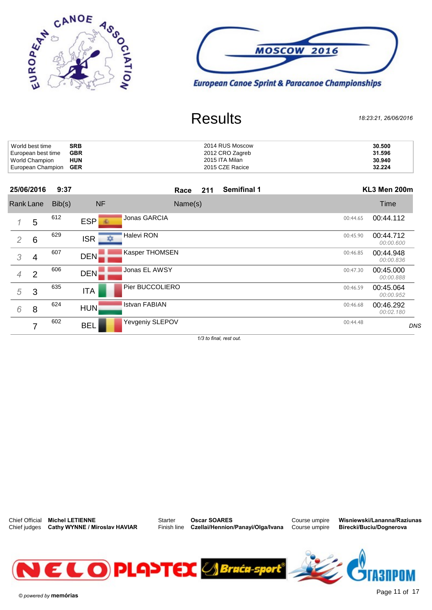



| World best time              | <b>SRB</b> | 2014 RUS Moscow | 30.500 |
|------------------------------|------------|-----------------|--------|
| European best time           | <b>GBR</b> | 2012 CRO Zagreb | 31.596 |
| World Champion               | <b>HUN</b> | 2015 ITA Milan  | 30.940 |
| European Champion <b>GER</b> |            | 2015 CZE Racice | 32.224 |

| 25/06/2016                 | 9:37                | <b>Semifinal 1</b><br>211<br>Race |          | KL3 Men 200m           |
|----------------------------|---------------------|-----------------------------------|----------|------------------------|
| Rank Lane                  | <b>NF</b><br>Bib(s) | Name(s)                           |          | Time                   |
| 612<br>5                   | <b>ESP</b><br>-56   | Jonas GARCIA                      | 00:44.65 | 00:44.112              |
| 629<br>6<br>$\overline{2}$ | $ISR \rightarrow$   | Halevi RON                        | 00:45.90 | 00:44.712<br>00:00.600 |
| 607<br>3<br>4              | <b>DEN</b>          | <b>Kasper THOMSEN</b>             | 00:46.85 | 00:44.948<br>00:00.836 |
| 606<br>$\overline{2}$<br>4 | <b>DEN</b>          | Jonas EL AWSY                     | 00:47.30 | 00:45.000<br>00:00.888 |
| 635<br>5<br>3              | <b>ITA</b>          | Pier BUCCOLIERO                   | 00:46.59 | 00:45.064<br>00:00.952 |
| 624<br>6<br>8              | <b>HUN</b>          | <b>Istvan FABIAN</b>              | 00:46.68 | 00:46.292<br>00:02.180 |
| 602<br>⇁                   | <b>BEL</b>          | Yevgeniy SLEPOV                   | 00:44.48 | DNS                    |

 $1/3$  to final, rest out.



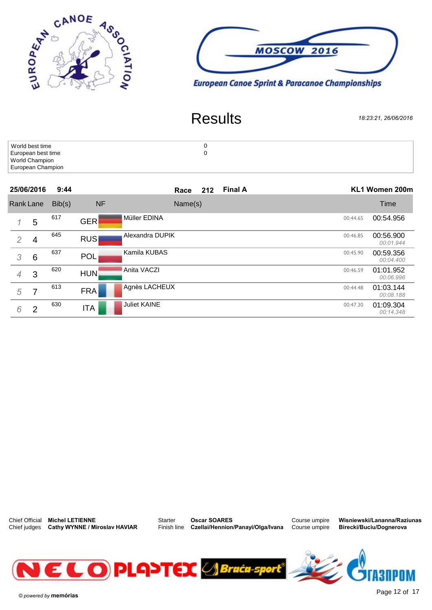



| World best time    |  |
|--------------------|--|
| European best time |  |
| World Champion     |  |
| European Champion  |  |

|                  | European Griampion |        |            |                               |                                    |
|------------------|--------------------|--------|------------|-------------------------------|------------------------------------|
|                  | 25/06/2016         | 9:44   |            | <b>Final A</b><br>212<br>Race | KL1 Women 200m                     |
| <b>Rank Lane</b> |                    | Bib(s) | <b>NF</b>  | Name(s)                       | Time                               |
| 1                | 5                  | 617    | <b>GER</b> | Müller EDINA                  | 00:54.956<br>00:44.65              |
| 2                | 4                  | 645    | <b>RUS</b> | Alexandra DUPIK               | 00:56.900<br>00:46.85<br>00:01.944 |
| 3                | $6\phantom{1}6$    | 637    | <b>POL</b> | Kamila KUBAS                  | 00:59.356<br>00:45.90<br>00:04.400 |
| $\overline{4}$   | 3                  | 620    | <b>HUN</b> | Anita VACZI                   | 01:01.952<br>00:46.59<br>00:06.996 |
| 5                | 7                  | 613    | <b>FRA</b> | Agnès LACHEUX                 | 01:03.144<br>00:44.48<br>00:08.188 |
| 6                | 2                  | 630    | <b>ITA</b> | <b>Juliet KAINE</b>           | 01:09.304<br>00:47.30<br>00:14.348 |
|                  |                    |        |            |                               |                                    |



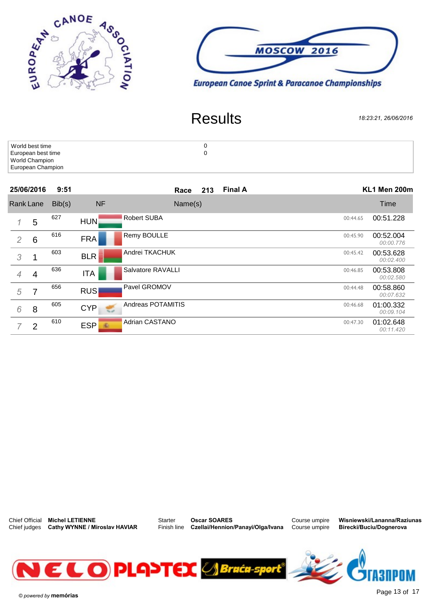



| World best time    |  |
|--------------------|--|
| European best time |  |
| World Champion     |  |
| European Champion  |  |

|                  | European Griampion |        |                                             |                               |                                    |  |
|------------------|--------------------|--------|---------------------------------------------|-------------------------------|------------------------------------|--|
|                  | 25/06/2016         | 9:51   |                                             | <b>Final A</b><br>213<br>Race | KL1 Men 200m                       |  |
| <b>Rank Lane</b> |                    | Bib(s) | <b>NF</b>                                   | Name(s)                       | Time                               |  |
|                  | 5                  | 627    | <b>HUN</b>                                  | <b>Robert SUBA</b>            | 00:51.228<br>00:44.65              |  |
| 2                | $6\phantom{1}6$    | 616    | <b>FRA</b>                                  | Remy BOULLE                   | 00:52.004<br>00:45.90<br>00:00.776 |  |
| 3                |                    | 603    | <b>BLR</b>                                  | Andrei TKACHUK                | 00:53.628<br>00:45.42<br>00:02.400 |  |
| $\overline{4}$   | 4                  | 636    | <b>ITA</b>                                  | Salvatore RAVALLI             | 00:53.808<br>00:46.85<br>00:02.580 |  |
| 5                | 7                  | 656    | <b>RUS</b>                                  | Pavel GROMOV                  | 00:58.860<br>00:44.48<br>00:07.632 |  |
| 6                | 8                  | 605    | <b>CYP</b><br>$V_{\rm{B}}$ and $V_{\rm{B}}$ | Andreas POTAMITIS             | 01:00.332<br>00:46.68<br>00:09.104 |  |
|                  | 2                  | 610    | <b>ESP</b><br>雀                             | Adrian CASTANO                | 01:02.648<br>00:47.30<br>00:11.420 |  |



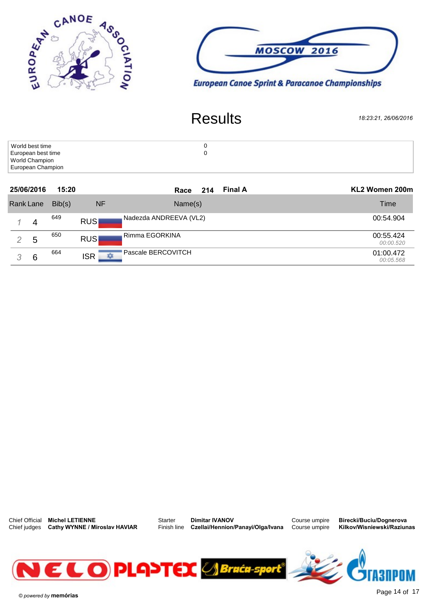



| World best time    |  |
|--------------------|--|
| European best time |  |
| World Champion     |  |
| European Champion  |  |

| European Griampion |   |        |                 |                               |                        |
|--------------------|---|--------|-----------------|-------------------------------|------------------------|
| 25/06/2016         |   | 15:20  |                 | <b>Final A</b><br>214<br>Race | KL2 Women 200m         |
| Rank Lane          |   | Bib(s) | <b>NF</b>       | Name(s)                       | Time                   |
|                    | 4 | 649    | <b>RUS</b>      | Nadezda ANDREEVA (VL2)        | 00:54.904              |
|                    | 5 | 650    | <b>RUS</b>      | Rimma EGORKINA                | 00:55.424<br>00:00.520 |
|                    | 6 | 664    | <b>ISR</b><br>ᄍ | Pascale BERCOVITCH            | 01:00.472<br>00:05.568 |



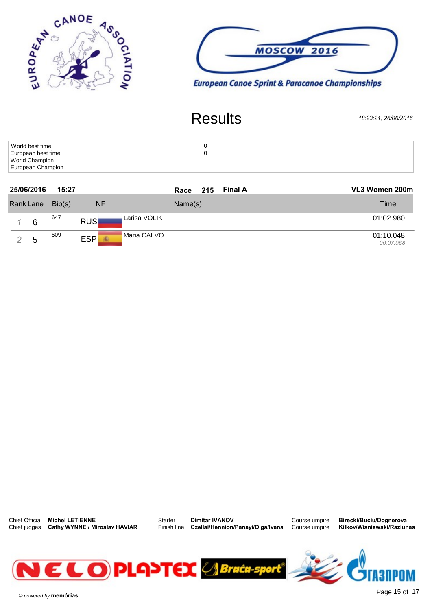



| World best time    |  |
|--------------------|--|
| European best time |  |
| World Champion     |  |
| European Champion  |  |

|           | European Griampion |        |                                 |                               |                        |
|-----------|--------------------|--------|---------------------------------|-------------------------------|------------------------|
|           | 25/06/2016         | 15:27  |                                 | <b>Final A</b><br>Race<br>215 | VL3 Women 200m         |
| Rank Lane |                    | Bib(s) | <b>NF</b>                       | Name(s)                       | <b>Time</b>            |
|           | 6                  | 647    | Larisa VOLIK<br><b>RUS</b>      |                               | 01:02.980              |
|           | 5                  | 609    | Maria CALVO<br><b>ESP</b><br>60 |                               | 01:10.048<br>00:07.068 |



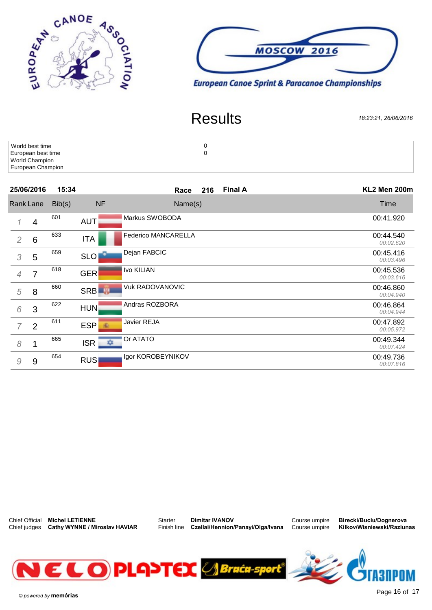



| World best time    |  |
|--------------------|--|
| European best time |  |
| World Champion     |  |
| European Champion  |  |

|                | European Unamplon |        |                      |                            |                        |
|----------------|-------------------|--------|----------------------|----------------------------|------------------------|
|                | 25/06/2016        | 15:34  |                      | <b>Final A</b><br>Race 216 | KL2 Men 200m           |
| Rank Lane      |                   | Bib(s) | <b>NF</b><br>Name(s) |                            | Time                   |
|                | 4                 | 601    | <b>AUT</b>           | Markus SWOBODA             | 00:41.920              |
| 2              | $6\phantom{1}6$   | 633    | <b>ITA</b>           | Federico MANCARELLA        | 00:44.540<br>00:02.620 |
| 3              | 5                 | 659    | SLO                  | Dejan FABCIC               | 00:45.416<br>00:03.496 |
| $\overline{4}$ | 7                 | 618    | <b>GER</b>           | Ivo KILIAN                 | 00:45.536<br>00:03.616 |
| 5              | 8                 | 660    | SRB <sup>IN</sup>    | <b>Vuk RADOVANOVIC</b>     | 00:46.860<br>00:04.940 |
| 6              | 3                 | 622    | <b>HUN</b>           | Andras ROZBORA             | 00:46.864<br>00:04.944 |
|                | $\overline{2}$    | 611    | <b>ESP</b>           | Javier REJA                | 00:47.892<br>00:05.972 |
| 8              |                   | 665    | $ISR \rightarrow$    | Or ATATO                   | 00:49.344<br>00:07.424 |
| 9              | 9                 | 654    | <b>RUS</b>           | Igor KOROBEYNIKOV          | 00:49.736<br>00:07.816 |